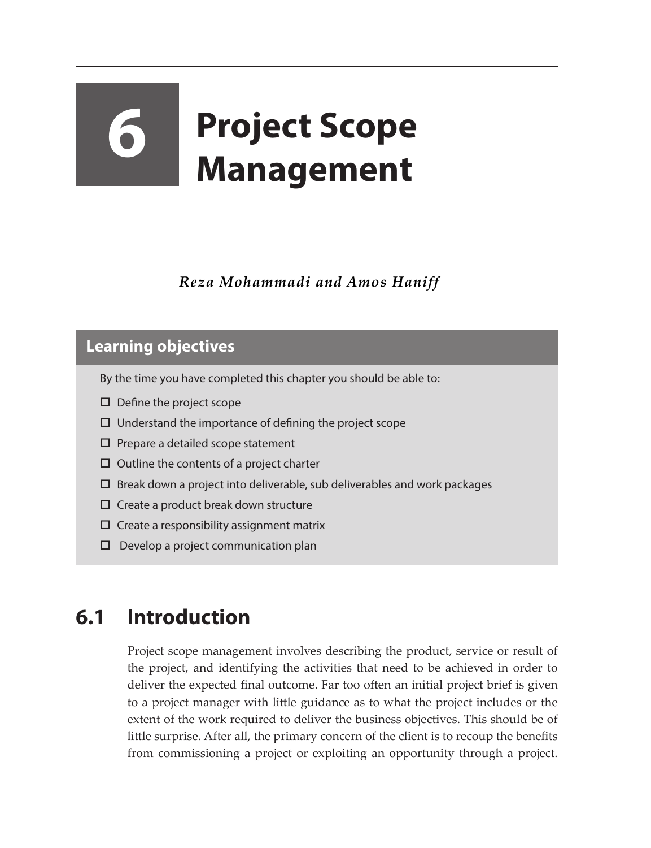# **6 Project Scope Management**

*Reza Mohammadi and Amos Haniff*

#### **Learning objectives**

- By the time you have completed this chapter you should be able to:
- $\square$  Define the project scope
- $\Box$  Understand the importance of defining the project scope
- $\square$  Prepare a detailed scope statement
- $\Box$  Outline the contents of a project charter
- $\Box$  Break down a project into deliverable, sub deliverables and work packages
- $\Box$  Create a product break down structure
- $\Box$  Create a responsibility assignment matrix
- $\square$  Develop a project communication plan

## **6.1 Introduction**

Project scope management involves describing the product, service or result of the project, and identifying the activities that need to be achieved in order to deliver the expected final outcome. Far too often an initial project brief is given to a project manager with little guidance as to what the project includes or the extent of the work required to deliver the business objectives. This should be of little surprise. After all, the primary concern of the client is to recoup the benefits from commissioning a project or exploiting an opportunity through a project.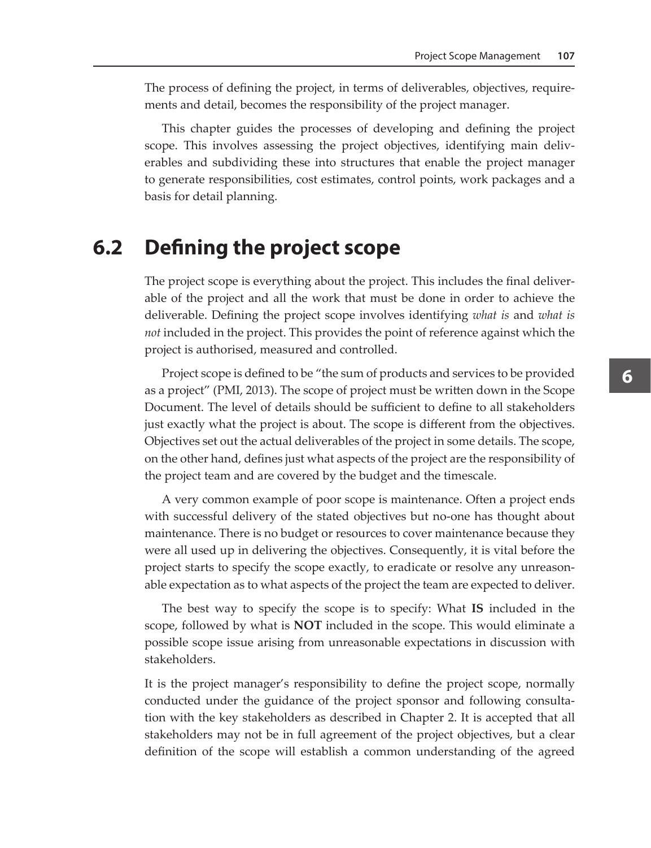The process of defining the project, in terms of deliverables, objectives, requirements and detail, becomes the responsibility of the project manager.

This chapter guides the processes of developing and defining the project scope. This involves assessing the project objectives, identifying main deliverables and subdividing these into structures that enable the project manager to generate responsibilities, cost estimates, control points, work packages and a basis for detail planning.

### **6.2 Defining the project scope**

The project scope is everything about the project. This includes the final deliverable of the project and all the work that must be done in order to achieve the deliverable. Defining the project scope involves identifying *what is* and *what is not* included in the project. This provides the point of reference against which the project is authorised, measured and controlled.

Project scope is defined to be "the sum of products and services to be provided as a project" (PMI, 2013). The scope of project must be written down in the Scope Document. The level of details should be sufficient to define to all stakeholders just exactly what the project is about. The scope is different from the objectives. Objectives set out the actual deliverables of the project in some details. The scope, on the other hand, defines just what aspects of the project are the responsibility of the project team and are covered by the budget and the timescale.

A very common example of poor scope is maintenance. Often a project ends with successful delivery of the stated objectives but no-one has thought about maintenance. There is no budget or resources to cover maintenance because they were all used up in delivering the objectives. Consequently, it is vital before the project starts to specify the scope exactly, to eradicate or resolve any unreasonable expectation as to what aspects of the project the team are expected to deliver.

The best way to specify the scope is to specify: What **IS** included in the scope, followed by what is **NOT** included in the scope. This would eliminate a possible scope issue arising from unreasonable expectations in discussion with stakeholders.

It is the project manager's responsibility to define the project scope, normally conducted under the guidance of the project sponsor and following consultation with the key stakeholders as described in Chapter 2. It is accepted that all stakeholders may not be in full agreement of the project objectives, but a clear definition of the scope will establish a common understanding of the agreed